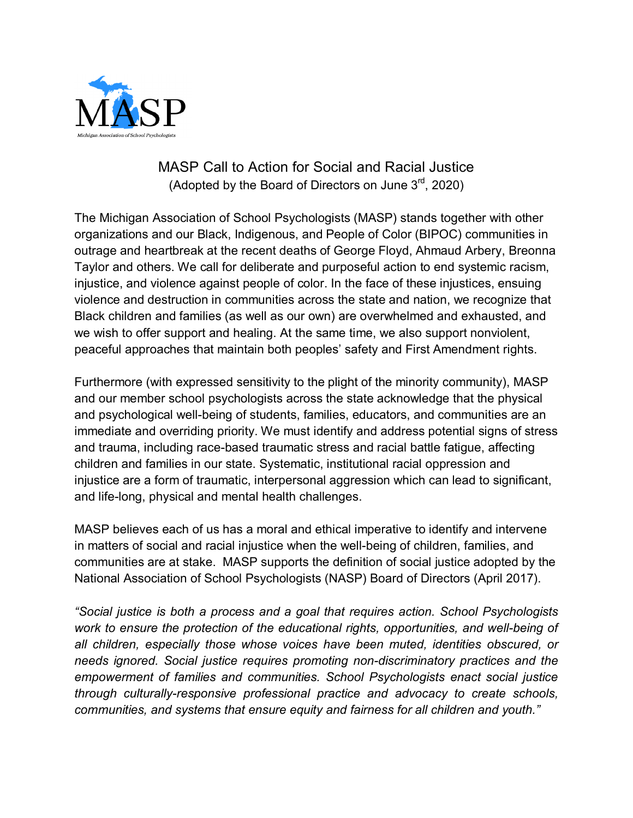

## MASP Call to Action for Social and Racial Justice (Adopted by the Board of Directors on June  $3<sup>rd</sup>$ , 2020)

The Michigan Association of School Psychologists (MASP) stands together with other organizations and our Black, Indigenous, and People of Color (BIPOC) communities in outrage and heartbreak at the recent deaths of George Floyd, Ahmaud Arbery, Breonna Taylor and others. We call for deliberate and purposeful action to end systemic racism, injustice, and violence against people of color. In the face of these injustices, ensuing violence and destruction in communities across the state and nation, we recognize that Black children and families (as well as our own) are overwhelmed and exhausted, and we wish to offer support and healing. At the same time, we also support nonviolent, peaceful approaches that maintain both peoples' safety and First Amendment rights.

Furthermore (with expressed sensitivity to the plight of the minority community), MASP and our member school psychologists across the state acknowledge that the physical and psychological well-being of students, families, educators, and communities are an immediate and overriding priority. We must identify and address potential signs of stress and trauma, including race-based traumatic stress and racial battle fatigue, affecting children and families in our state. Systematic, institutional racial oppression and injustice are a form of traumatic, interpersonal aggression which can lead to significant, and life-long, physical and mental health challenges.

MASP believes each of us has a moral and ethical imperative to identify and intervene in matters of social and racial injustice when the well-being of children, families, and communities are at stake. MASP supports the definition of social justice adopted by the National Association of School Psychologists (NASP) Board of Directors (April 2017).

*"Social justice is both a process and a goal that requires action. School Psychologists work to ensure the protection of the educational rights, opportunities, and well-being of all children, especially those whose voices have been muted, identities obscured, or needs ignored. Social justice requires promoting non-discriminatory practices and the empowerment of families and communities. School Psychologists enact social justice through culturally-responsive professional practice and advocacy to create schools, communities, and systems that ensure equity and fairness for all children and youth."*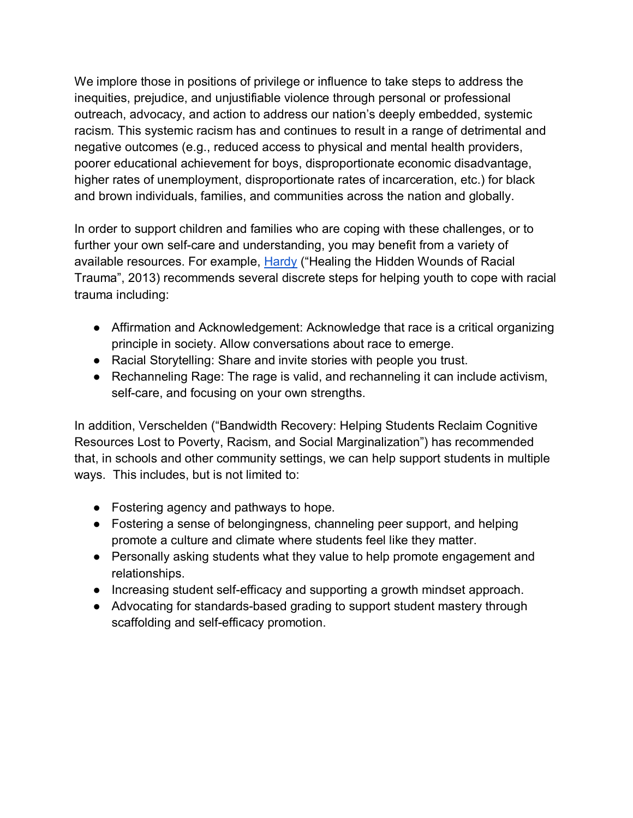We implore those in positions of privilege or influence to take steps to address the inequities, prejudice, and unjustifiable violence through personal or professional outreach, advocacy, and action to address our nation's deeply embedded, systemic racism. This systemic racism has and continues to result in a range of detrimental and negative outcomes (e.g., reduced access to physical and mental health providers, poorer educational achievement for boys, disproportionate economic disadvantage, higher rates of unemployment, disproportionate rates of incarceration, etc.) for black and brown individuals, families, and communities across the nation and globally.

In order to support children and families who are coping with these challenges, or to further your own self-care and understanding, you may benefit from a variety of available resources. For example, [Hardy](https://static1.squarespace.com/static/545cdfcce4b0a64725b9f65a/t/54da3451e4b0ac9bd1d1cd30/1423586385564/Healing.pdf) ("Healing the Hidden Wounds of Racial [Trauma", 2013\)](https://static1.squarespace.com/static/545cdfcce4b0a64725b9f65a/t/54da3451e4b0ac9bd1d1cd30/1423586385564/Healing.pdf) recommends several discrete steps for helping youth to cope with racial trauma including:

- Affirmation and Acknowledgement: Acknowledge that race is a critical organizing principle in society. Allow conversations about race to emerge.
- Racial Storytelling: Share and invite stories with people you trust.
- Rechanneling Rage: The rage is valid, and rechanneling it can include activism, self-care, and focusing on your own strengths.

In addition, Verschelden ("Bandwidth Recovery: Helping Students Reclaim Cognitive Resources Lost to Poverty, Racism, and Social Marginalization") has recommended that, in schools and other community settings, we can help support students in multiple ways. This includes, but is not limited to:

- Fostering agency and pathways to hope.
- Fostering a sense of belongingness, channeling peer support, and helping promote a culture and climate where students feel like they matter.
- Personally asking students what they value to help promote engagement and relationships.
- Increasing student self-efficacy and supporting a growth mindset approach.
- Advocating for standards-based grading to support student mastery through scaffolding and self-efficacy promotion.